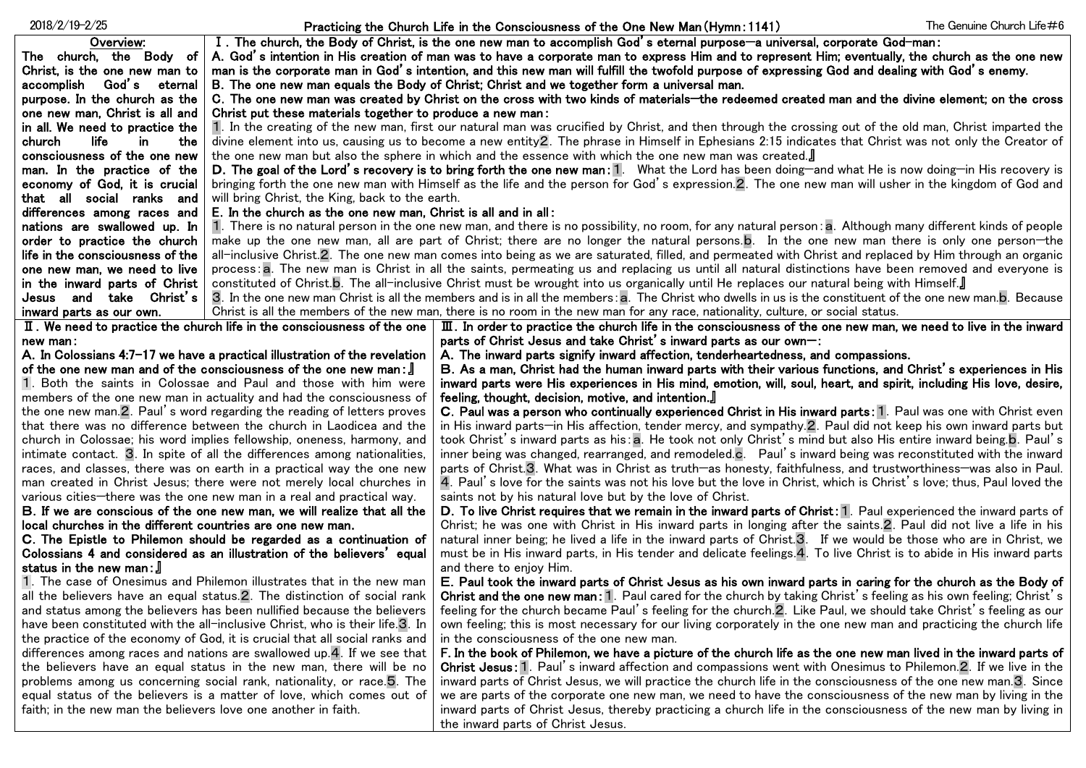| Overview:                                                                                 |                                                                                                                                                            | I. The church, the Body of Christ, is the one new man to accomplish God's eternal purpose—a universal, corporate God-man:                                                                            |
|-------------------------------------------------------------------------------------------|------------------------------------------------------------------------------------------------------------------------------------------------------------|------------------------------------------------------------------------------------------------------------------------------------------------------------------------------------------------------|
| The church, the Body of                                                                   | A. God's intention in His creation of man was to have a corporate man to express Him and to represent Him; eventually, the church as the one new           |                                                                                                                                                                                                      |
| Christ, is the one new man to                                                             | man is the corporate man in God's intention, and this new man will fulfill the twofold purpose of expressing God and dealing with God's enemy.             |                                                                                                                                                                                                      |
| accomplish God's eternal                                                                  | B. The one new man equals the Body of Christ; Christ and we together form a universal man.                                                                 |                                                                                                                                                                                                      |
| purpose. In the church as the                                                             | C. The one new man was created by Christ on the cross with two kinds of materials—the redeemed created man and the divine element; on the cross            |                                                                                                                                                                                                      |
| one new man, Christ is all and                                                            | Christ put these materials together to produce a new man:                                                                                                  |                                                                                                                                                                                                      |
| in all. We need to practice the                                                           | 1. In the creating of the new man, first our natural man was crucified by Christ, and then through the crossing out of the old man, Christ imparted the    |                                                                                                                                                                                                      |
| church<br>life<br>in.<br>the                                                              | divine element into us, causing us to become a new entity2. The phrase in Himself in Ephesians 2:15 indicates that Christ was not only the Creator of      |                                                                                                                                                                                                      |
| consciousness of the one new                                                              | the one new man but also the sphere in which and the essence with which the one new man was created.                                                       |                                                                                                                                                                                                      |
| man. In the practice of the                                                               | D. The goal of the Lord's recovery is to bring forth the one new man: 1. What the Lord has been doing—and what He is now doing—in His recovery is          |                                                                                                                                                                                                      |
| economy of God, it is crucial                                                             | bringing forth the one new man with Himself as the life and the person for God's expression. 2. The one new man will usher in the kingdom of God and       |                                                                                                                                                                                                      |
| that all social ranks and                                                                 | will bring Christ, the King, back to the earth.                                                                                                            |                                                                                                                                                                                                      |
| differences among races and                                                               | E. In the church as the one new man, Christ is all and in all:                                                                                             |                                                                                                                                                                                                      |
| nations are swallowed up. In                                                              | 1. There is no natural person in the one new man, and there is no possibility, no room, for any natural person: a. Although many different kinds of people |                                                                                                                                                                                                      |
| order to practice the church                                                              | make up the one new man, all are part of Christ; there are no longer the natural persons.b. In the one new man there is only one person-the                |                                                                                                                                                                                                      |
| life in the consciousness of the                                                          | all-inclusive Christ.2. The one new man comes into being as we are saturated, filled, and permeated with Christ and replaced by Him through an organic     |                                                                                                                                                                                                      |
| one new man, we need to live                                                              |                                                                                                                                                            | process: a. The new man is Christ in all the saints, permeating us and replacing us until all natural distinctions have been removed and everyone is                                                 |
| in the inward parts of Christ                                                             |                                                                                                                                                            | constituted of Christ.b. The all-inclusive Christ must be wrought into us organically until He replaces our natural being with Himself.                                                              |
| Jesus and take Christ's                                                                   |                                                                                                                                                            | 3. In the one new man Christ is all the members and is in all the members: a. The Christ who dwells in us is the constituent of the one new man.b. Because                                           |
| inward parts as our own.                                                                  |                                                                                                                                                            | Christ is all the members of the new man, there is no room in the new man for any race, nationality, culture, or social status.                                                                      |
|                                                                                           |                                                                                                                                                            | $\,$ II. We need to practice the church life in the consciousness of the one $\, \,$ II. In order to practice the church life in the consciousness of the one new man, we need to live in the inward |
| new man:                                                                                  |                                                                                                                                                            | parts of Christ Jesus and take Christ's inward parts as our own-:                                                                                                                                    |
| A. In Colossians $4:7-17$ we have a practical illustration of the revelation              |                                                                                                                                                            | A. The inward parts signify inward affection, tenderheartedness, and compassions.                                                                                                                    |
| of the one new man and of the consciousness of the one new man: J                         |                                                                                                                                                            | B. As a man, Christ had the human inward parts with their various functions, and Christ's experiences in His                                                                                         |
| 1. Both the saints in Colossae and Paul and those with him were                           |                                                                                                                                                            | inward parts were His experiences in His mind, emotion, will, soul, heart, and spirit, including His love, desire,                                                                                   |
| members of the one new man in actuality and had the consciousness of                      |                                                                                                                                                            | feeling, thought, decision, motive, and intention.                                                                                                                                                   |
| the one new man. <sup>2</sup> . Paul's word regarding the reading of letters proves       |                                                                                                                                                            | C. Paul was a person who continually experienced Christ in His inward parts: 1. Paul was one with Christ even                                                                                        |
| that there was no difference between the church in Laodicea and the                       |                                                                                                                                                            | in His inward parts—in His affection, tender mercy, and sympathy.2. Paul did not keep his own inward parts but                                                                                       |
| church in Colossae; his word implies fellowship, oneness, harmony, and                    |                                                                                                                                                            | took Christ's inward parts as his: a. He took not only Christ's mind but also His entire inward being.b. Paul's                                                                                      |
| intimate contact. 3. In spite of all the differences among nationalities,                 |                                                                                                                                                            | inner being was changed, rearranged, and remodeled.c. Paul's inward being was reconstituted with the inward                                                                                          |
| races, and classes, there was on earth in a practical way the one new                     |                                                                                                                                                            | parts of Christ.3. What was in Christ as truth-as honesty, faithfulness, and trustworthiness-was also in Paul.                                                                                       |
| man created in Christ Jesus; there were not merely local churches in                      |                                                                                                                                                            | 4. Paul's love for the saints was not his love but the love in Christ, which is Christ's love; thus, Paul loved the                                                                                  |
| various cities-there was the one new man in a real and practical way.                     |                                                                                                                                                            | saints not by his natural love but by the love of Christ.                                                                                                                                            |
| B. If we are conscious of the one new man, we will realize that all the                   |                                                                                                                                                            | D. To live Christ requires that we remain in the inward parts of Christ: 1. Paul experienced the inward parts of                                                                                     |
| local churches in the different countries are one new man.                                |                                                                                                                                                            | Christ; he was one with Christ in His inward parts in longing after the saints.2. Paul did not live a life in his                                                                                    |
| C. The Epistle to Philemon should be regarded as a continuation of                        |                                                                                                                                                            | natural inner being; he lived a life in the inward parts of Christ.3. If we would be those who are in Christ, we                                                                                     |
| Colossians 4 and considered as an illustration of the believers' equal                    |                                                                                                                                                            | must be in His inward parts, in His tender and delicate feelings.4. To live Christ is to abide in His inward parts                                                                                   |
| status in the new man: J                                                                  |                                                                                                                                                            | and there to enjoy Him.                                                                                                                                                                              |
| 1. The case of Onesimus and Philemon illustrates that in the new man                      |                                                                                                                                                            | E. Paul took the inward parts of Christ Jesus as his own inward parts in caring for the church as the Body of                                                                                        |
| all the believers have an equal status. 2. The distinction of social rank                 |                                                                                                                                                            | Christ and the one new man: 1. Paul cared for the church by taking Christ's feeling as his own feeling; Christ's                                                                                     |
| and status among the believers has been nullified because the believers                   |                                                                                                                                                            | feeling for the church became Paul's feeling for the church.2. Like Paul, we should take Christ's feeling as our                                                                                     |
| have been constituted with the all-inclusive Christ, who is their life. <sup>3</sup> . In |                                                                                                                                                            | own feeling; this is most necessary for our living corporately in the one new man and practicing the church life                                                                                     |
| the practice of the economy of God, it is crucial that all social ranks and               |                                                                                                                                                            | in the consciousness of the one new man.                                                                                                                                                             |
| differences among races and nations are swallowed up.4. If we see that                    |                                                                                                                                                            | F. In the book of Philemon, we have a picture of the church life as the one new man lived in the inward parts of                                                                                     |
| the believers have an equal status in the new man, there will be no                       |                                                                                                                                                            | Christ Jesus: 1. Paul's inward affection and compassions went with Onesimus to Philemon. 2. If we live in the                                                                                        |
| problems among us concerning social rank, nationality, or race.5. The                     |                                                                                                                                                            | inward parts of Christ Jesus, we will practice the church life in the consciousness of the one new man.3. Since                                                                                      |
| equal status of the believers is a matter of love, which comes out of                     |                                                                                                                                                            | we are parts of the corporate one new man, we need to have the consciousness of the new man by living in the                                                                                         |
| faith; in the new man the believers love one another in faith.                            |                                                                                                                                                            | inward parts of Christ Jesus, thereby practicing a church life in the consciousness of the new man by living in                                                                                      |
|                                                                                           |                                                                                                                                                            | the inward parts of Christ Jesus.                                                                                                                                                                    |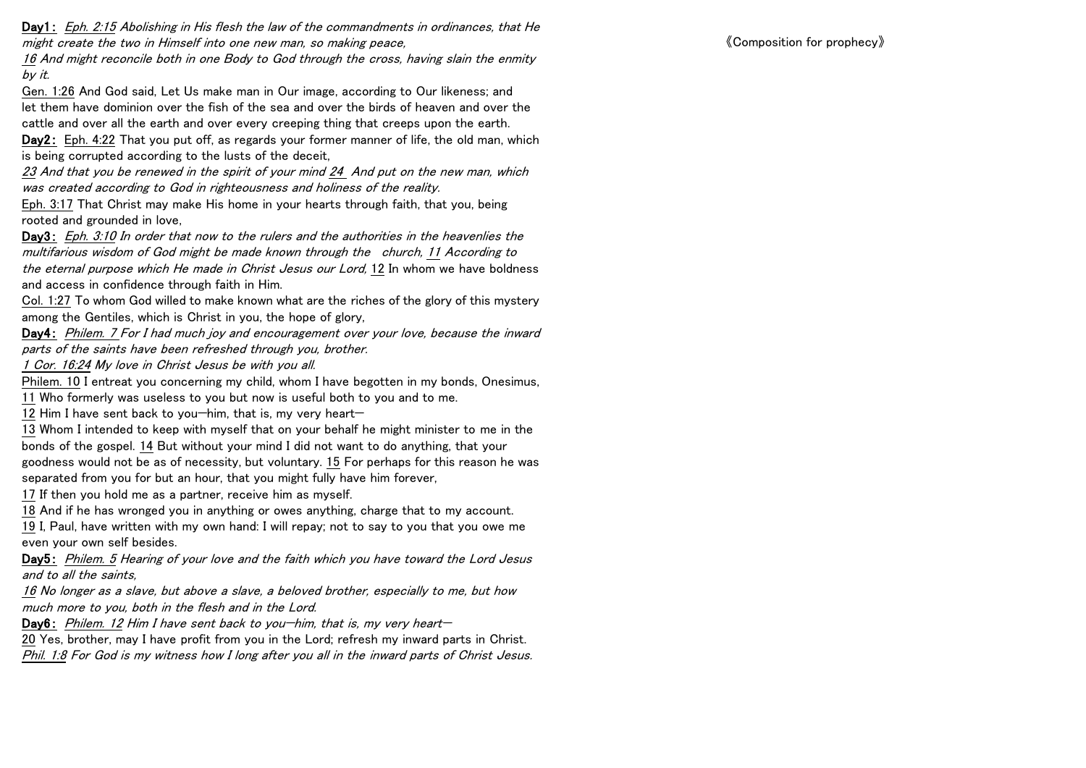Day1: Eph. 2:15 Abolishing in His flesh the law of the commandments in ordinances, that He might create the two in Himself into one new man, so making peace,

16 And might reconcile both in one Body to God through the cross, having slain the enmity by it.

Gen. 1:26 And God said, Let Us make man in Our image, according to Our likeness; and let them have dominion over the fish of the sea and over the birds of heaven and over the cattle and over all the earth and over every creeping thing that creeps upon the earth.

Day2: Eph. 4:22 That you put off, as regards your former manner of life, the old man, which is being corrupted according to the lusts of the deceit,

<u>23</u> And that you be renewed in the spirit of your mind <u>24</u> And put on the new man, which was created according to God in righteousness and holiness of the reality.

Eph. 3:17 That Christ may make His home in your hearts through faith, that you, being rooted and grounded in love,

Day3: Eph. 3:10 In order that now to the rulers and the authorities in the heavenlies the multifarious wisdom of God might be made known through the church, 11 According to the eternal purpose which He made in Christ Jesus our Lord, 12 In whom we have boldness and access in confidence through faith in Him.

Col. 1:27 To whom God willed to make known what are the riches of the glory of this mystery among the Gentiles, which is Christ in you, the hope of glory,

Day4: Philem. 7 For I had much joy and encouragement over your love, because the inward parts of the saints have been refreshed through you, brother.

1 Cor. 16:24 My love in Christ Jesus be with you all.

Philem. 10 I entreat you concerning my child, whom I have begotten in my bonds, Onesimus,

11 Who formerly was useless to you but now is useful both to you and to me.

12 Him I have sent back to you—him, that is, my very heart—

13 Whom I intended to keep with myself that on your behalf he might minister to me in the bonds of the gospel. 14 But without your mind I did not want to do anything, that your goodness would not be as of necessity, but voluntary. 15 For perhaps for this reason he was separated from you for but an hour, that you might fully have him forever,

17 If then you hold me as a partner, receive him as myself.

18 And if he has wronged you in anything or owes anything, charge that to my account.

19 I, Paul, have written with my own hand: I will repay; not to say to you that you owe me even your own self besides.

Day5: Philem. 5 Hearing of your love and the faith which you have toward the Lord Jesus and to all the saints,

16 No longer as <sup>a</sup> slave, but above a slave, a beloved brother, especially to me, but how much more to you, both in the flesh and in the Lord.

Day6: Philem. 12 Him I have sent back to you-him, that is, my very heart-

20 Yes, brother, may I have profit from you in the Lord; refresh my inward parts in Christ.

Phil. 1:8 For God is my witness how I long after you all in the inward parts of Christ Jesus.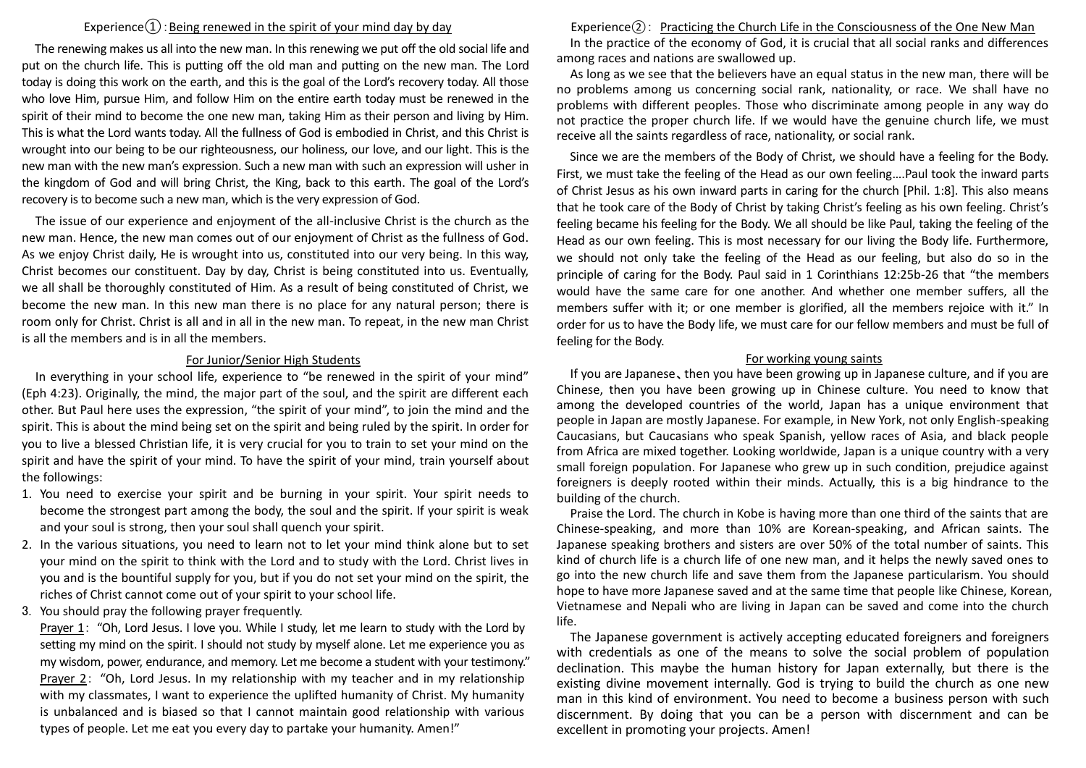### Experience $\Omega$ : Being renewed in the spirit of your mind day by day

The renewing makes us all into the new man. In this renewing we put off the old social life and put on the church life. This is putting off the old man and putting on the new man. The Lord today is doing this work on the earth, and this is the goal of the Lord's recovery today. All those who love Him, pursue Him, and follow Him on the entire earth today must be renewed in the spirit of their mind to become the one new man, taking Him as their person and living by Him. This is what the Lord wants today. All the fullness of God is embodied in Christ, and this Christ is wrought into our being to be our righteousness, our holiness, our love, and our light. This is the new man with the new man's expression. Such a new man with such an expression will usher in the kingdom of God and will bring Christ, the King, back to this earth. The goal of the Lord's recovery is to become such a new man, which is the very expression of God.

The issue of our experience and enjoyment of the all-inclusive Christ is the church as the new man. Hence, the new man comes out of our enjoyment of Christ as the fullness of God. As we enjoy Christ daily, He is wrought into us, constituted into our very being. In this way, Christ becomes our constituent. Day by day, Christ is being constituted into us. Eventually, we all shall be thoroughly constituted of Him. As a result of being constituted of Christ, we become the new man. In this new man there is no place for any natural person; there is room only for Christ. Christ is all and in all in the new man. To repeat, in the new man Christ is all the members and is in all the members.

#### For Junior/Senior High Students

In everything in your school life, experience to "be renewed in the spirit of your mind" (Eph 4:23). Originally, the mind, the major part of the soul, and the spirit are different each other. But Paul here uses the expression, "the spirit of your mind", to join the mind and the spirit. This is about the mind being set on the spirit and being ruled by the spirit. In order for you to live a blessed Christian life, it is very crucial for you to train to set your mind on the spirit and have the spirit of your mind. To have the spirit of your mind, train yourself about the followings:

- 1. You need to exercise your spirit and be burning in your spirit. Your spirit needs to become the strongest part among the body, the soul and the spirit. If your spirit is weak and your soul is strong, then your soul shall quench your spirit.
- 2. In the various situations, you need to learn not to let your mind think alone but to set your mind on the spirit to think with the Lord and to study with the Lord. Christ lives in you and is the bountiful supply for you, but if you do not set your mind on the spirit, the riches of Christ cannot come out of your spirit to your school life.

#### 3. You should pray the following prayer frequently.

Prayer 1: "Oh, Lord Jesus. I love you. While I study, let me learn to study with the Lord by setting my mind on the spirit. I should not study by myself alone. Let me experience you as my wisdom, power, endurance, and memory. Let me become a student with your testimony." Prayer 2: "Oh, Lord Jesus. In my relationship with my teacher and in my relationship with my classmates, I want to experience the uplifted humanity of Christ. My humanity is unbalanced and is biased so that I cannot maintain good relationship with various types of people. Let me eat you every day to partake your humanity. Amen!"

### Experience②: Practicing the Church Life in the Consciousness of the One New Man

In the practice of the economy of God, it is crucial that all social ranks and differences among races and nations are swallowed up.

As long as we see that the believers have an equal status in the new man, there will be no problems among us concerning social rank, nationality, or race. We shall have no problems with different peoples. Those who discriminate among people in any way do not practice the proper church life. If we would have the genuine church life, we must receive all the saints regardless of race, nationality, or social rank.

Since we are the members of the Body of Christ, we should have a feeling for the Body. First, we must take the feeling of the Head as our own feeling….Paul took the inward parts of Christ Jesus as his own inward parts in caring for the church [Phil. 1:8]. This also means that he took care of the Body of Christ by taking Christ's feeling as his own feeling. Christ's feeling became his feeling for the Body. We all should be like Paul, taking the feeling of the Head as our own feeling. This is most necessary for our living the Body life. Furthermore, we should not only take the feeling of the Head as our feeling, but also do so in the principle of caring for the Body. Paul said in 1 Corinthians 12:25b-26 that "the members would have the same care for one another. And whether one member suffers, all the members suffer with it; or one member is glorified, all the members rejoice with it." In order for us to have the Body life, we must care for our fellow members and must be full of feeling for the Body.

#### For working young saints

If you are Japanese、then you have been growing up in Japanese culture, and if you are Chinese, then you have been growing up in Chinese culture. You need to know that among the developed countries of the world, Japan has a unique environment that people in Japan are mostly Japanese. For example, in New York, not only English-speaking Caucasians, but Caucasians who speak Spanish, yellow races of Asia, and black people from Africa are mixed together. Looking worldwide, Japan is a unique country with a very small foreign population. For Japanese who grew up in such condition, prejudice against foreigners is deeply rooted within their minds. Actually, this is a big hindrance to the building of the church.

Praise the Lord. The church in Kobe is having more than one third of the saints that are Chinese-speaking, and more than 10% are Korean-speaking, and African saints. The Japanese speaking brothers and sisters are over 50% of the total number of saints. This kind of church life is a church life of one new man, and it helps the newly saved ones to go into the new church life and save them from the Japanese particularism. You should hope to have more Japanese saved and at the same time that people like Chinese, Korean, Vietnamese and Nepali who are living in Japan can be saved and come into the church life.

The Japanese government is actively accepting educated foreigners and foreigners with credentials as one of the means to solve the social problem of population declination. This maybe the human history for Japan externally, but there is the existing divine movement internally. God is trying to build the church as one new man in this kind of environment. You need to become a business person with such discernment. By doing that you can be a person with discernment and can be excellent in promoting your projects. Amen!